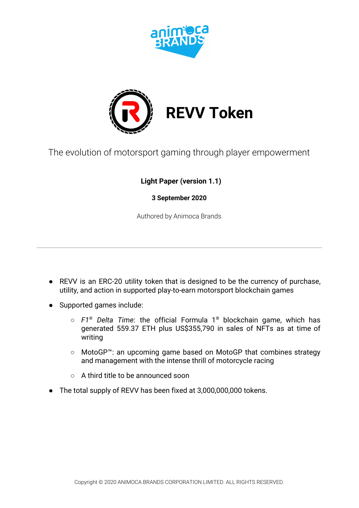



The evolution of motorsport gaming through player empowerment

 **Light Paper (version 1.1)**

**3 September 2020**

Authored by Animoca Brands

- REVV is an ERC-20 utility token that is designed to be the currency of purchase, utility, and action in supported play-to-earn motorsport blockchain games
- Supported games include:
	- *F1® Delta Time*: the official Formula 1® blockchain game, which has generated 559.37 ETH plus US\$355,790 in sales of NFTs as at time of writing
	- MotoGP™: an upcoming game based on MotoGP that combines strategy and management with the intense thrill of motorcycle racing
	- A third title to be announced soon
- The total supply of REVV has been fixed at 3,000,000,000 tokens.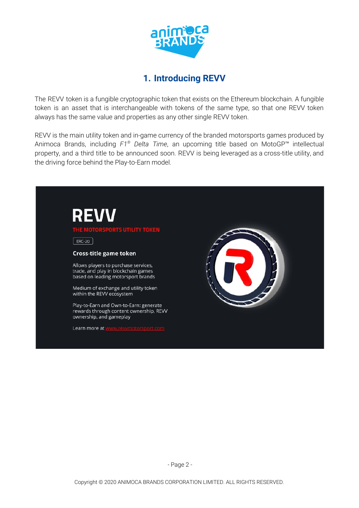

# **1. Introducing REVV**

The REVV token is a fungible cryptographic token that exists on the Ethereum blockchain. A fungible token is an asset that is interchangeable with tokens of the same type, so that one REVV token always has the same value and properties as any other single REVV token.

REVV is the main utility token and in-game currency of the branded motorsports games produced by Animoca Brands, including *F1 ® Delta Time*, an upcoming title based on MotoGP™ intellectual property, and a third title to be announced soon. REVV is being leveraged as a cross-title utility, and the driving force behind the Play-to-Earn model.

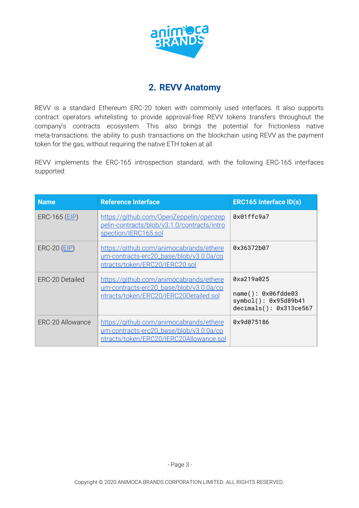

# **2. REVV Anatomy**

REVV is a standard Ethereum ERC-20 token with commonly used interfaces. It also supports contract operators whitelisting to provide approval-free REVV tokens transfers throughout the company's contracts ecosystem. This also brings the potential for frictionless native meta-transactions: the ability to push transactions on the blockchain using REVV as the payment token for the gas, without requiring the native ETH token at all.

REVV implements the ERC-165 introspection standard, with the following ERC-165 interfaces supported:

| <b>Name</b>      | <b>Reference Interface</b>                                                                                                    | <b>ERC165 Interface ID(s)</b>                                                                |
|------------------|-------------------------------------------------------------------------------------------------------------------------------|----------------------------------------------------------------------------------------------|
| $ERC-165 (EIP)$  | https://aithub.com/OpenZeppelin/openzep<br>pelin-contracts/blob/v3.1.0/contracts/intro<br>spection/IERC165.sol                | 0x01ffc9a7                                                                                   |
| $ERC-20 (EIP)$   | https://github.com/animocabrands/ethere<br>um-contracts-erc20_base/blob/v3.0.0a/co<br>ntracts/token/ERC20/IERC20.sol          | Ax36372b87                                                                                   |
| FRC-20 Detailed  | https://github.com/animocabrands/ethere<br>um-contracts-erc20_base/blob/v3.0.0a/co<br>ntracts/token/ERC20/IERC20Detailed.sol  | 0xa219a025<br>$name()$ : $0x06fdde03$<br>$symbol($ ): $0x95d89b41$<br>decimals(): 0x313ce567 |
| ERC-20 Allowance | https://github.com/animocabrands/ethere<br>um-contracts-erc20_base/blob/v3.0.0a/co<br>ntracts/token/ERC20/IERC20Allowance.sol | 0x9d075186                                                                                   |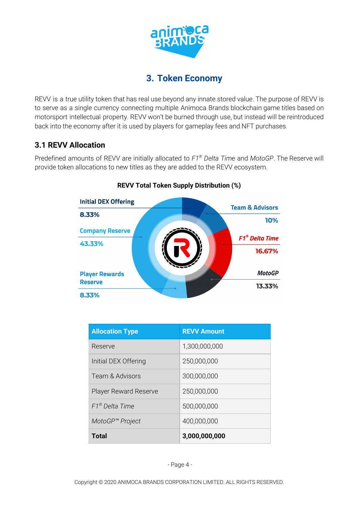

## **3. Token Economy**

REVV is a true utility token that has real use beyond any innate stored value. The purpose of REVV is to serve as a single currency connecting multiple Animoca Brands blockchain game titles based on motorsport intellectual property. REVV won't be burned through use, but instead will be reintroduced back into the economy after it is used by players for gameplay fees and NFT purchases.

## **3.1 REVV Allocation**

Predefined amounts of REVV are initially allocated to *F1 ® Delta Time* and *MotoGP*. The Reserve will provide token allocations to new titles as they are added to the REVV ecosystem.



### **REVV Total Token Supply Distribution (%)**

| <b>Allocation Type</b>        | <b>REVV Amount</b> |
|-------------------------------|--------------------|
| Reserve                       | 1,300,000,000      |
| Initial DEX Offering          | 250,000,000        |
| Team & Advisors               | 300,000,000        |
| <b>Player Reward Reserve</b>  | 250,000,000        |
| $F1^{\circledast}$ Delta Time | 500,000,000        |
| MotoGP <sup>™</sup> Project   | 400,000,000        |
| Total                         | 3,000,000,000      |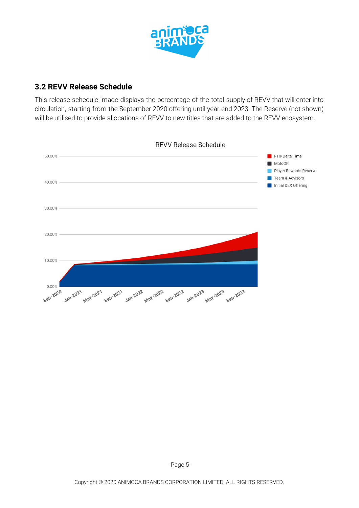

### **3.2 REVV Release Schedule**

This release schedule image displays the percentage of the total supply of REVV that will enter into circulation, starting from the September 2020 offering until year-end 2023. The Reserve (not shown) will be utilised to provide allocations of REVV to new titles that are added to the REVV ecosystem.

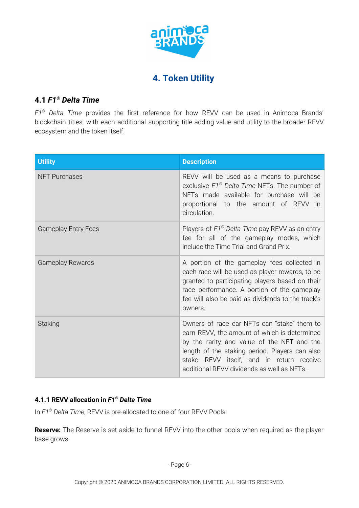

## **4. Token Utility**

### **4.1** *F1 ® Delta Time*

*F1 ® Delta Time* provides the first reference for how REVV can be used in Animoca Brands' blockchain titles, with each additional supporting title adding value and utility to the broader REVV ecosystem and the token itself.

| <b>Utility</b>             | <b>Description</b>                                                                                                                                                                                                                                                                    |
|----------------------------|---------------------------------------------------------------------------------------------------------------------------------------------------------------------------------------------------------------------------------------------------------------------------------------|
| <b>NFT Purchases</b>       | REVV will be used as a means to purchase<br>exclusive $F1^{\circledast}$ Delta Time NFTs. The number of<br>NFTs made available for purchase will be<br>proportional to the amount of REVV<br><i>in</i><br>circulation.                                                                |
| <b>Gameplay Entry Fees</b> | Players of F1 <sup>®</sup> Delta Time pay REVV as an entry<br>fee for all of the gameplay modes, which<br>include the Time Trial and Grand Prix.                                                                                                                                      |
| <b>Gameplay Rewards</b>    | A portion of the gameplay fees collected in<br>each race will be used as player rewards, to be<br>granted to participating players based on their<br>race performance. A portion of the gameplay<br>fee will also be paid as dividends to the track's<br>owners.                      |
| Staking                    | Owners of race car NFTs can "stake" them to<br>earn REVV, the amount of which is determined<br>by the rarity and value of the NFT and the<br>length of the staking period. Players can also<br>stake REVV itself, and in return receive<br>additional REVV dividends as well as NFTs. |

#### **4.1.1 REVV allocation in** *F1 ® Delta Time*

In *F1 ® Delta Time*, REVV is pre-allocated to one of four REVV Pools.

**Reserve:** The Reserve is set aside to funnel REVV into the other pools when required as the player base grows.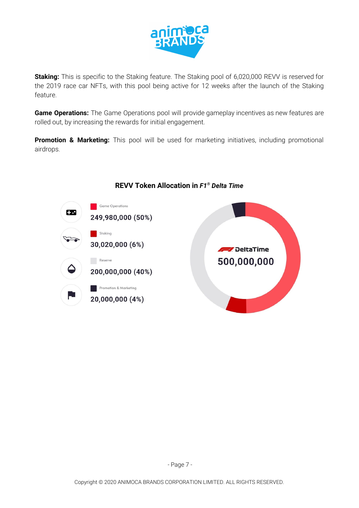

**Staking:** This is specific to the Staking feature. The Staking pool of 6,020,000 REVV is reserved for the 2019 race car NFTs, with this pool being active for 12 weeks after the launch of the Staking feature.

**Game Operations:** The Game Operations pool will provide gameplay incentives as new features are rolled out, by increasing the rewards for initial engagement.

**Promotion & Marketing:** This pool will be used for marketing initiatives, including promotional airdrops.



### **REVV Token Allocation in** *F1 ® Delta Time*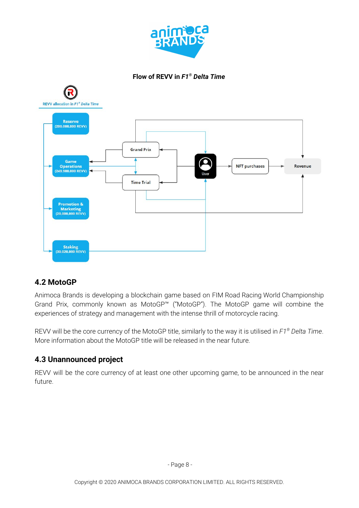





### **4.2 MotoGP**

Animoca Brands is developing a blockchain game based on FIM Road Racing World Championship Grand Prix, commonly known as MotoGP™ ("MotoGP"). The MotoGP game will combine the experiences of strategy and management with the intense thrill of motorcycle racing.

REVV will be the core currency of the MotoGP title, similarly to the way it is utilised in *F1 ® Delta Time*. More information about the MotoGP title will be released in the near future.

## **4.3 Unannounced project**

REVV will be the core currency of at least one other upcoming game, to be announced in the near future.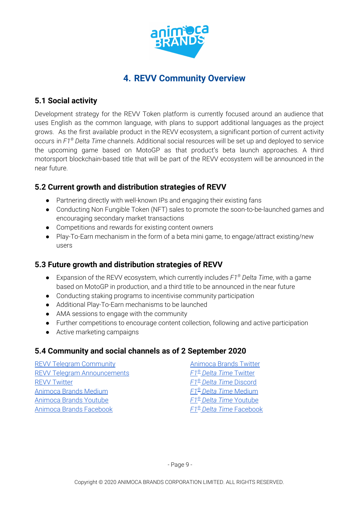

# **4. REVV Community Overview**

### **5.1 Social activity**

Development strategy for the REVV Token platform is currently focused around an audience that uses English as the common language, with plans to support additional languages as the project grows. As the first available product in the REVV ecosystem, a significant portion of current activity occurs in *F1 ® Delta Time* channels. Additional social resources will be set up and deployed to service the upcoming game based on MotoGP as that product's beta launch approaches. A third motorsport blockchain-based title that will be part of the REVV ecosystem will be announced in the near future.

## **5.2 Current growth and distribution strategies of REVV**

- Partnering directly with well-known IPs and engaging their existing fans
- Conducting Non Fungible Token (NFT) sales to promote the soon-to-be-launched games and encouraging secondary market transactions
- Competitions and rewards for existing content owners
- Play-To-Earn mechanism in the form of a beta mini game, to engage/attract existing/new users

## **5.3 Future growth and distribution strategies of REVV**

- Expansion of the REVV ecosystem, which currently includes *F1 ® Delta Time*, with a game based on MotoGP in production, and a third title to be announced in the near future
- Conducting staking programs to incentivise community participation
- Additional Play-To-Earn mechanisms to be launched
- AMA sessions to engage with the community
- Further competitions to encourage content collection, following and active participation
- Active marketing campaigns

## **5.4 Community and social channels as of 2 September 2020**

| <b>REVV Telegram Community</b>     | <b>Animoca Brands Twitter</b>             |
|------------------------------------|-------------------------------------------|
| <b>REVV Telegram Announcements</b> | F1 <sup>®</sup> Delta Time Twitter        |
| <b>REVV Twitter</b>                | F1 <sup>®</sup> Delta Time Discord        |
| <b>Animoca Brands Medium</b>       | F1 <sup>®</sup> Delta Time Medium         |
| <b>Animoca Brands Youtube</b>      | <b>F1<sup>®</sup> Delta Time Youtube</b>  |
| <b>Animoca Brands Facebook</b>     | <b>F1<sup>®</sup> Delta Time Facebook</b> |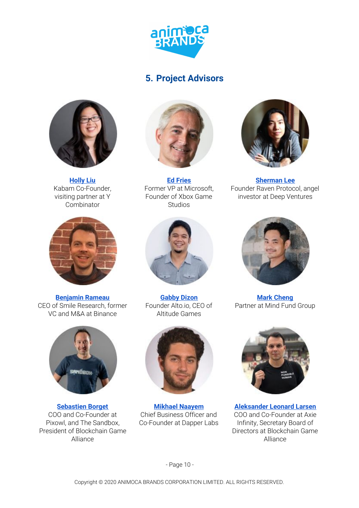

## **5. Project Advisors**



**[Holly](https://www.linkedin.com/in/hollyhliu/) Liu** Kabam Co-Founder, visiting partner at Y Combinator



**[Benjamin](https://www.linkedin.com/in/benjamin-rameau-57b156134/) Rameau** CEO of Smile Research, former VC and M&A at Binance



**[Sebastien](https://www.linkedin.com/in/borgetsebastien) Borget** COO and Co-Founder at Pixowl, and The Sandbox, President of Blockchain Game Alliance



**Ed [Fries](https://www.linkedin.com/in/edfries/)** Former VP at Microsoft, Founder of Xbox Game Studios



**[Sherman](https://www.linkedin.com/in/sherm8n/) Lee** Founder Raven Protocol, angel investor at Deep Ventures



**[Gabby](https://www.linkedin.com/in/gabbydizon/) Dizon** Founder Alto.io, CEO of Altitude Games



**Mikhael [Naayem](https://www.linkedin.com/in/miknaayem)** Chief Business Officer and Co-Founder at Dapper Labs



**Mark [Cheng](https://www.linkedin.com/in/chenghtmark/)** Partner at Mind Fund Group

**[Aleksander](https://www.linkedin.com/in/psycheout86) Leonard Larsen** COO and Co-Founder at Axie Infinity, Secretary Board of Directors at Blockchain Game Alliance

- Page 10 -